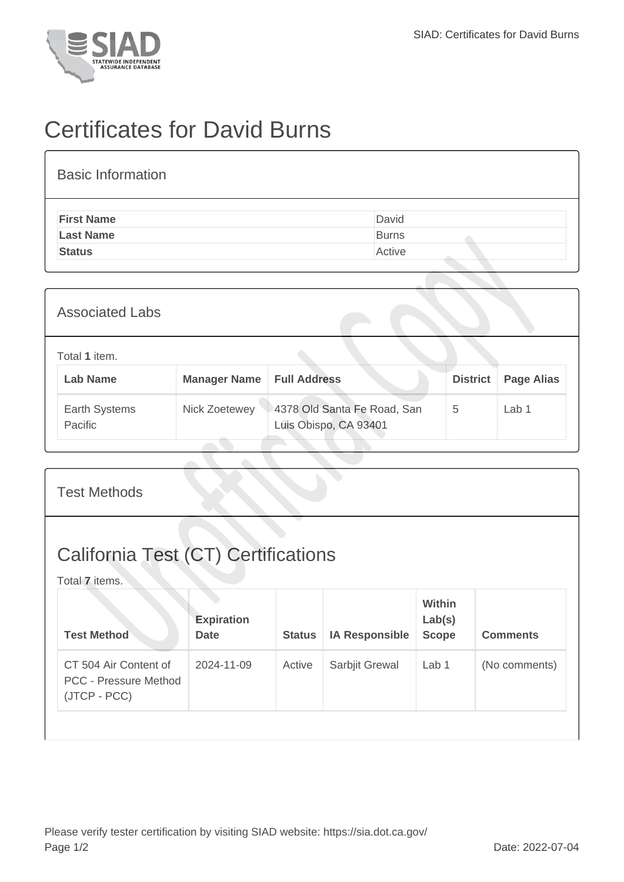

## Certificates for David Burns

| <b>Basic Information</b> |              |
|--------------------------|--------------|
| <b>First Name</b>        | David        |
| <b>Last Name</b>         | <b>Burns</b> |
| <b>Status</b>            | Active       |
|                          |              |

| <b>Associated Labs</b>           |                     |                                                      |                 |                   |
|----------------------------------|---------------------|------------------------------------------------------|-----------------|-------------------|
| Total 1 item.<br><b>Lab Name</b> | <b>Manager Name</b> | <b>Full Address</b>                                  | <b>District</b> | <b>Page Alias</b> |
| Earth Systems<br>Pacific         | Nick Zoetewey       | 4378 Old Santa Fe Road, San<br>Luis Obispo, CA 93401 | 5               | Lab 1             |

| <b>California Test (CT) Certifications</b><br>Total 7 items.<br><b>Within</b><br><b>Expiration</b><br>Lab(s)<br><b>Test Method</b><br><b>IA Responsible</b><br><b>Scope</b><br><b>Comments</b><br><b>Date</b><br><b>Status</b> | <b>Test Methods</b>   |            |        |                |       |               |
|--------------------------------------------------------------------------------------------------------------------------------------------------------------------------------------------------------------------------------|-----------------------|------------|--------|----------------|-------|---------------|
|                                                                                                                                                                                                                                |                       |            |        |                |       |               |
|                                                                                                                                                                                                                                |                       |            |        |                |       |               |
| <b>PCC - Pressure Method</b><br>(JTCP - PCC)                                                                                                                                                                                   | CT 504 Air Content of | 2024-11-09 | Active | Sarbjit Grewal | Lab 1 | (No comments) |